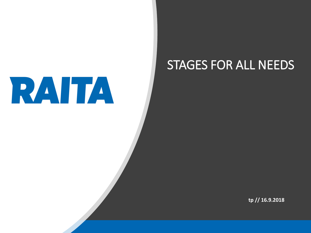

#### STAGES FOR ALL NEEDS

**tp // 16.9.2018**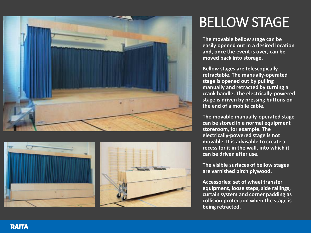



### BELLOW STAGE

**The movable bellow stage can be easily opened out in a desired location and, once the event is over, can be moved back into storage.**

**Bellow stages are telescopically retractable. The manually-operated stage is opened out by pulling manually and retracted by turning a crank handle. The electrically-powered stage is driven by pressing buttons on the end of a mobile cable.**

**The movable manually-operated stage can be stored in a normal equipment storeroom, for example. The electrically-powered stage is not movable. It is advisable to create a recess for it in the wall, into which it can be driven after use.**

**The visible surfaces of bellow stages are varnished birch plywood.**

**Accessories: set of wheel transfer equipment, loose steps, side railings, curtain system and corner padding as collision protection when the stage is being retracted.**

**RAITA**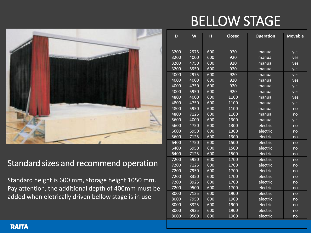## BELLOW STAGE



#### Standard sizes and recommend operation

Standard height is 600 mm, storage height 1050 mm. Pay attention, the additional depth of 400mm must be added when eletrically driven bellow stage is in use

| D    | W    | н   | Closed | <b>Operation</b> | <b>Movable</b> |
|------|------|-----|--------|------------------|----------------|
| 3200 | 2975 | 600 | 920    | manual           | yes            |
| 3200 | 4000 | 600 | 920    | manual           | yes            |
| 3200 | 4750 | 600 | 920    | manual           | yes            |
| 3200 | 5950 | 600 | 920    | manual           | yes            |
| 4000 | 2975 | 600 | 920    | manual           | yes            |
| 4000 | 4000 | 600 | 920    | manual           | yes            |
| 4000 | 4750 | 600 | 920    | manual           | yes            |
| 4000 | 5950 | 600 | 920    | manual           | yes            |
| 4800 | 4000 | 600 | 1100   | manual           | yes            |
| 4800 | 4750 | 600 | 1100   | manual           | yes            |
| 4800 | 5950 | 600 | 1100   | manual           | no             |
| 4800 | 7125 | 600 | 1100   | manual           | no             |
| 5600 | 4000 | 600 | 1300   | manual           | yes            |
| 5600 | 4750 | 600 | 1300   | electric         | no             |
| 5600 | 5950 | 600 | 1300   | electric         | no             |
| 5600 | 7125 | 600 | 1300   | electric         | no             |
| 6400 | 4750 | 600 | 1500   | electric         | no             |
| 6400 | 5950 | 600 | 1500   | electric         | no             |
| 6400 | 7125 | 600 | 1500   | electric         | no             |
| 7200 | 5950 | 600 | 1700   | electric         | no             |
| 7200 | 7125 | 600 | 1700   | electric         | no             |
| 7200 | 7950 | 600 | 1700   | electric         | no             |
| 7200 | 8350 | 600 | 1700   | electric         | no             |
| 7200 | 8925 | 600 | 1700   | electric         | no             |
| 7200 | 9500 | 600 | 1700   | electric         | no             |
| 8000 | 7125 | 600 | 1900   | electric         | no             |
| 8000 | 7950 | 600 | 1900   | electric         | no             |
| 8000 | 8325 | 600 | 1900   | electric         | no             |
| 8000 | 8925 | 600 | 1900   | electric         | no             |
| 8000 | 9500 | 600 | 1900   | electric         | no             |

#### **RAITA**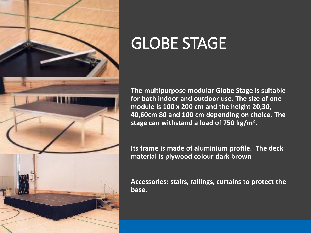

# GLOBE STAGE

**The multipurpose modular Globe Stage is suitable for both indoor and outdoor use. The size of one module is 100 x 200 cm and the height 20,30, 40,60cm 80 and 100 cm depending on choice. The stage can withstand a load of 750 kg/m².**

**Its frame is made of aluminium profile. The deck material is plywood colour dark brown**

**Accessories: stairs, railings, curtains to protect the base.**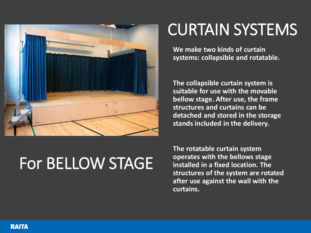

# CURTAIN SYSTEMS

**We make two kinds of curtain systems: collapsible and rotatable.**

**The collapsible curtain system is suitable for use with the movable bellow stage. After use, the frame structures and curtains can be detached and stored in the storage stands included in the delivery.**

# For BELLOW STAGE

**The rotatable curtain system operates with the bellows stage installed in a fixed location. The structures of the system are rotated after use against the wall with the curtains.**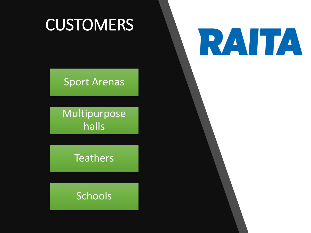# **CUSTOMERS**

# RAITA

#### Sport Arenas

Multipurpose halls

**Teathers** 

Schools